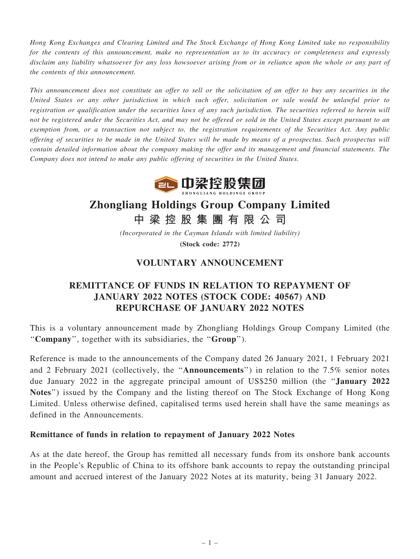Hong Kong Exchanges and Clearing Limited and The Stock Exchange of Hong Kong Limited take no responsibility for the contents of this announcement, make no representation as to its accuracy or completeness and expressly disclaim any liability whatsoever for any loss howsoever arising from or in reliance upon the whole or any part of the contents of this announcement.

This announcement does not constitute an offer to sell or the solicitation of an offer to buy any securities in the United States or any other jurisdiction in which such offer, solicitation or sale would be unlawful prior to registration or qualification under the securities laws of any such jurisdiction. The securities referred to herein will not be registered under the Securities Act, and may not be offered or sold in the United States except pursuant to an exemption from, or a transaction not subject to, the registration requirements of the Securities Act. Any public offering of securities to be made in the United States will be made by means of a prospectus. Such prospectus will contain detailed information about the company making the offer and its management and financial statements. The Company does not intend to make any public offering of securities in the United States.



# Zhongliang Holdings Group Company Limited

中 梁 控 股 集 團 有 限 公 司

(Incorporated in the Cayman Islands with limited liability) (Stock code: 2772)

## VOLUNTARY ANNOUNCEMENT

## REMITTANCE OF FUNDS IN RELATION TO REPAYMENT OF JANUARY 2022 NOTES (STOCK CODE: 40567) AND REPURCHASE OF JANUARY 2022 NOTES

This is a voluntary announcement made by Zhongliang Holdings Group Company Limited (the ''Company'', together with its subsidiaries, the ''Group'').

Reference is made to the announcements of the Company dated 26 January 2021, 1 February 2021 and 2 February 2021 (collectively, the ''Announcements'') in relation to the 7.5% senior notes due January 2022 in the aggregate principal amount of US\$250 million (the ''January 2022 Notes'') issued by the Company and the listing thereof on The Stock Exchange of Hong Kong Limited. Unless otherwise defined, capitalised terms used herein shall have the same meanings as defined in the Announcements.

### Remittance of funds in relation to repayment of January 2022 Notes

As at the date hereof, the Group has remitted all necessary funds from its onshore bank accounts in the People's Republic of China to its offshore bank accounts to repay the outstanding principal amount and accrued interest of the January 2022 Notes at its maturity, being 31 January 2022.